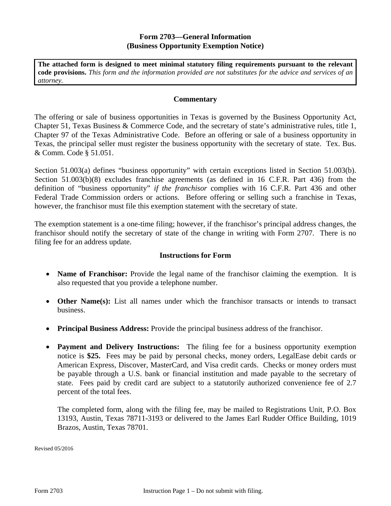## **Form 2703—General Information (Business Opportunity Exemption Notice)**

**The attached form is designed to meet minimal statutory filing requirements pursuant to the relevant code provisions.** *This form and the information provided are not substitutes for the advice and services of an attorney.* 

## **Commentary**

The offering or sale of business opportunities in Texas is governed by the Business Opportunity Act, Chapter 51, Texas Business & Commerce Code, and the secretary of state's administrative rules, title 1, Chapter 97 of the Texas Administrative Code. Before an offering or sale of a business opportunity in Texas, the principal seller must register the business opportunity with the secretary of state. Tex. Bus. & Comm. Code § 51.051.

Section 51.003(a) defines "business opportunity" with certain exceptions listed in Section 51.003(b). Section 51.003(b)(8) excludes franchise agreements (as defined in 16 C.F.R. Part 436) from the definition of "business opportunity" *if the franchisor* complies with 16 C.F.R. Part 436 and other Federal Trade Commission orders or actions. Before offering or selling such a franchise in Texas, however, the franchisor must file this exemption statement with the secretary of state.

The exemption statement is a one-time filing; however, if the franchisor's principal address changes, the franchisor should notify the secretary of state of the change in writing with Form 2707. There is no filing fee for an address update.

## **Instructions for Form**

- Name of Franchisor: Provide the legal name of the franchisor claiming the exemption. It is also requested that you provide a telephone number.
- Other Name(s): List all names under which the franchisor transacts or intends to transact business.
- **Principal Business Address:** Provide the principal business address of the franchisor.
- **Payment and Delivery Instructions:** The filing fee for a business opportunity exemption notice is **\$25.** Fees may be paid by personal checks, money orders, LegalEase debit cards or American Express, Discover, MasterCard, and Visa credit cards. Checks or money orders must be payable through a U.S. bank or financial institution and made payable to the secretary of state. Fees paid by credit card are subject to a statutorily authorized convenience fee of 2.7 percent of the total fees.

The completed form, along with the filing fee, may be mailed to Registrations Unit, P.O. Box 13193, Austin, Texas 78711-3193 or delivered to the James Earl Rudder Office Building, 1019 Brazos, Austin, Texas 78701.

Revised 05/2016